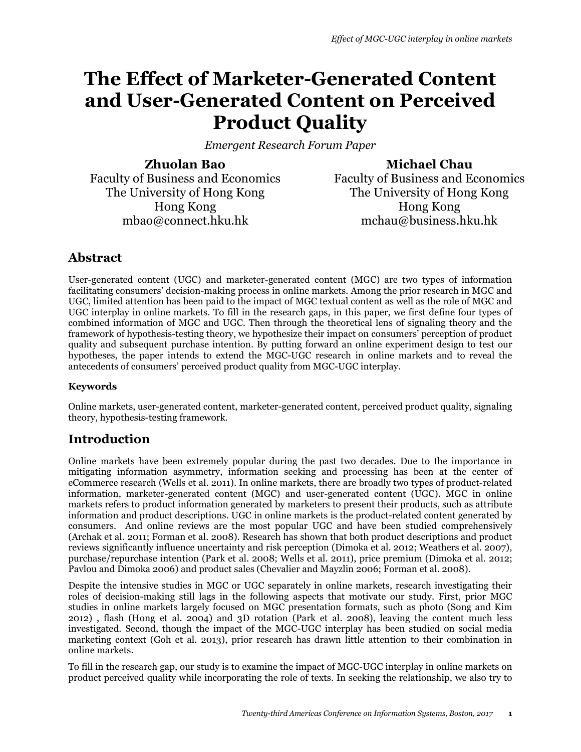# **The Effect of Marketer-Generated Content and User-Generated Content on Perceived Product Quality**

*Emergent Research Forum Paper* 

**Zhuolan Bao** Faculty of Business and Economics The University of Hong Kong Hong Kong mbao@connect.hku.hk

**Michael Chau**

Faculty of Business and Economics The University of Hong Kong Hong Kong mchau@business.hku.hk

# **Abstract**

User-generated content (UGC) and marketer-generated content (MGC) are two types of information facilitating consumers' decision-making process in online markets. Among the prior research in MGC and UGC, limited attention has been paid to the impact of MGC textual content as well as the role of MGC and UGC interplay in online markets. To fill in the research gaps, in this paper, we first define four types of combined information of MGC and UGC. Then through the theoretical lens of signaling theory and the framework of hypothesis-testing theory, we hypothesize their impact on consumers' perception of product quality and subsequent purchase intention. By putting forward an online experiment design to test our hypotheses, the paper intends to extend the MGC-UGC research in online markets and to reveal the antecedents of consumers' perceived product quality from MGC-UGC interplay.

#### **Keywords**

Online markets, user-generated content, marketer-generated content, perceived product quality, signaling theory, hypothesis-testing framework.

# **Introduction**

Online markets have been extremely popular during the past two decades. Due to the importance in mitigating information asymmetry, information seeking and processing has been at the center of eCommerce research (Wells et al. 2011). In online markets, there are broadly two types of product-related information, marketer-generated content (MGC) and user-generated content (UGC). MGC in online markets refers to product information generated by marketers to present their products, such as attribute information and product descriptions. UGC in online markets is the product-related content generated by consumers. And online reviews are the most popular UGC and have been studied comprehensively (Archak et al. 2011; Forman et al. 2008). Research has shown that both product descriptions and product reviews significantly influence uncertainty and risk perception (Dimoka et al. 2012; Weathers et al. 2007), purchase/repurchase intention (Park et al. 2008; Wells et al. 2011), price premium (Dimoka et al. 2012; Pavlou and Dimoka 2006) and product sales (Chevalier and Mayzlin 2006; Forman et al. 2008).

Despite the intensive studies in MGC or UGC separately in online markets, research investigating their roles of decision-making still lags in the following aspects that motivate our study. First, prior MGC studies in online markets largely focused on MGC presentation formats, such as photo (Song and Kim 2012) , flash (Hong et al. 2004) and 3D rotation (Park et al. 2008), leaving the content much less investigated. Second, though the impact of the MGC-UGC interplay has been studied on social media marketing context (Goh et al. 2013), prior research has drawn little attention to their combination in online markets.

To fill in the research gap, our study is to examine the impact of MGC-UGC interplay in online markets on product perceived quality while incorporating the role of texts. In seeking the relationship, we also try to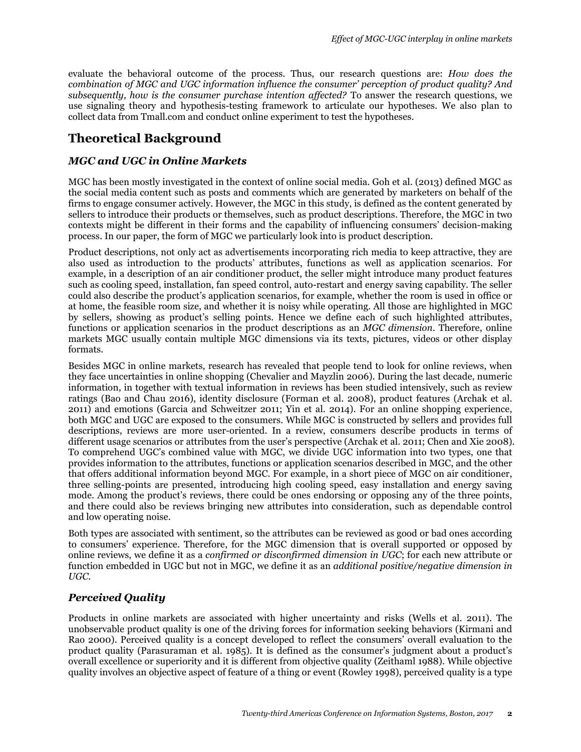evaluate the behavioral outcome of the process. Thus, our research questions are: *How does the combination of MGC and UGC information influence the consumer' perception of product quality? And subsequently, how is the consumer purchase intention affected?* To answer the research questions, we use signaling theory and hypothesis-testing framework to articulate our hypotheses. We also plan to collect data from Tmall.com and conduct online experiment to test the hypotheses.

# **Theoretical Background**

#### *MGC and UGC in Online Markets*

MGC has been mostly investigated in the context of online social media. Goh et al. (2013) defined MGC as the social media content such as posts and comments which are generated by marketers on behalf of the firms to engage consumer actively. However, the MGC in this study, is defined as the content generated by sellers to introduce their products or themselves, such as product descriptions. Therefore, the MGC in two contexts might be different in their forms and the capability of influencing consumers' decision-making process. In our paper, the form of MGC we particularly look into is product description.

Product descriptions, not only act as advertisements incorporating rich media to keep attractive, they are also used as introduction to the products' attributes, functions as well as application scenarios. For example, in a description of an air conditioner product, the seller might introduce many product features such as cooling speed, installation, fan speed control, auto-restart and energy saving capability. The seller could also describe the product's application scenarios, for example, whether the room is used in office or at home, the feasible room size, and whether it is noisy while operating. All those are highlighted in MGC by sellers, showing as product's selling points. Hence we define each of such highlighted attributes, functions or application scenarios in the product descriptions as an *MGC dimension*. Therefore, online markets MGC usually contain multiple MGC dimensions via its texts, pictures, videos or other display formats.

Besides MGC in online markets, research has revealed that people tend to look for online reviews, when they face uncertainties in online shopping (Chevalier and Mayzlin 2006). During the last decade, numeric information, in together with textual information in reviews has been studied intensively, such as review ratings (Bao and Chau 2016), identity disclosure (Forman et al. 2008), product features (Archak et al. 2011) and emotions (Garcia and Schweitzer 2011; Yin et al. 2014). For an online shopping experience, both MGC and UGC are exposed to the consumers. While MGC is constructed by sellers and provides full descriptions, reviews are more user-oriented. In a review, consumers describe products in terms of different usage scenarios or attributes from the user's perspective (Archak et al. 2011; Chen and Xie 2008). To comprehend UGC's combined value with MGC, we divide UGC information into two types, one that provides information to the attributes, functions or application scenarios described in MGC, and the other that offers additional information beyond MGC. For example, in a short piece of MGC on air conditioner, three selling-points are presented, introducing high cooling speed, easy installation and energy saving mode. Among the product's reviews, there could be ones endorsing or opposing any of the three points, and there could also be reviews bringing new attributes into consideration, such as dependable control and low operating noise.

Both types are associated with sentiment, so the attributes can be reviewed as good or bad ones according to consumers' experience. Therefore, for the MGC dimension that is overall supported or opposed by online reviews, we define it as a *confirmed or disconfirmed dimension in UGC*; for each new attribute or function embedded in UGC but not in MGC, we define it as an *additional positive/negative dimension in UGC*.

#### *Perceived Quality*

Products in online markets are associated with higher uncertainty and risks (Wells et al. 2011). The unobservable product quality is one of the driving forces for information seeking behaviors (Kirmani and Rao 2000). Perceived quality is a concept developed to reflect the consumers' overall evaluation to the product quality (Parasuraman et al. 1985). It is defined as the consumer's judgment about a product's overall excellence or superiority and it is different from objective quality (Zeithaml 1988). While objective quality involves an objective aspect of feature of a thing or event (Rowley 1998), perceived quality is a type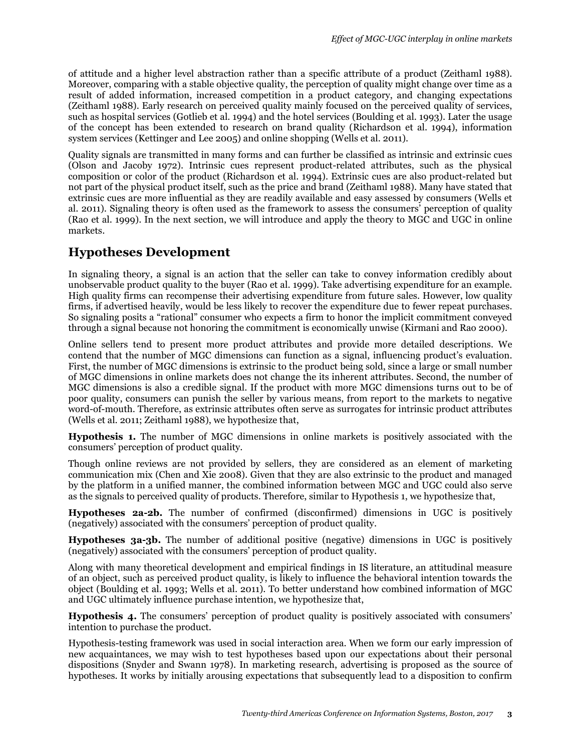of attitude and a higher level abstraction rather than a specific attribute of a product (Zeithaml 1988). Moreover, comparing with a stable objective quality, the perception of quality might change over time as a result of added information, increased competition in a product category, and changing expectations (Zeithaml 1988). Early research on perceived quality mainly focused on the perceived quality of services, such as hospital services (Gotlieb et al. 1994) and the hotel services (Boulding et al. 1993). Later the usage of the concept has been extended to research on brand quality (Richardson et al. 1994), information system services (Kettinger and Lee 2005) and online shopping (Wells et al. 2011).

Quality signals are transmitted in many forms and can further be classified as intrinsic and extrinsic cues (Olson and Jacoby 1972). Intrinsic cues represent product-related attributes, such as the physical composition or color of the product (Richardson et al. 1994). Extrinsic cues are also product-related but not part of the physical product itself, such as the price and brand (Zeithaml 1988). Many have stated that extrinsic cues are more influential as they are readily available and easy assessed by consumers (Wells et al. 2011). Signaling theory is often used as the framework to assess the consumers' perception of quality (Rao et al. 1999). In the next section, we will introduce and apply the theory to MGC and UGC in online markets.

# **Hypotheses Development**

In signaling theory, a signal is an action that the seller can take to convey information credibly about unobservable product quality to the buyer (Rao et al. 1999). Take advertising expenditure for an example. High quality firms can recompense their advertising expenditure from future sales. However, low quality firms, if advertised heavily, would be less likely to recover the expenditure due to fewer repeat purchases. So signaling posits a "rational" consumer who expects a firm to honor the implicit commitment conveyed through a signal because not honoring the commitment is economically unwise (Kirmani and Rao 2000).

Online sellers tend to present more product attributes and provide more detailed descriptions. We contend that the number of MGC dimensions can function as a signal, influencing product's evaluation. First, the number of MGC dimensions is extrinsic to the product being sold, since a large or small number of MGC dimensions in online markets does not change the its inherent attributes. Second, the number of MGC dimensions is also a credible signal. If the product with more MGC dimensions turns out to be of poor quality, consumers can punish the seller by various means, from report to the markets to negative word-of-mouth. Therefore, as extrinsic attributes often serve as surrogates for intrinsic product attributes (Wells et al. 2011; Zeithaml 1988), we hypothesize that,

**Hypothesis 1.** The number of MGC dimensions in online markets is positively associated with the consumers' perception of product quality.

Though online reviews are not provided by sellers, they are considered as an element of marketing communication mix (Chen and Xie 2008). Given that they are also extrinsic to the product and managed by the platform in a unified manner, the combined information between MGC and UGC could also serve as the signals to perceived quality of products. Therefore, similar to Hypothesis 1, we hypothesize that,

**Hypotheses 2a-2b.** The number of confirmed (disconfirmed) dimensions in UGC is positively (negatively) associated with the consumers' perception of product quality.

**Hypotheses 3a-3b.** The number of additional positive (negative) dimensions in UGC is positively (negatively) associated with the consumers' perception of product quality.

Along with many theoretical development and empirical findings in IS literature, an attitudinal measure of an object, such as perceived product quality, is likely to influence the behavioral intention towards the object (Boulding et al. 1993; Wells et al. 2011). To better understand how combined information of MGC and UGC ultimately influence purchase intention, we hypothesize that,

**Hypothesis 4.** The consumers' perception of product quality is positively associated with consumers' intention to purchase the product.

Hypothesis-testing framework was used in social interaction area. When we form our early impression of new acquaintances, we may wish to test hypotheses based upon our expectations about their personal dispositions (Snyder and Swann 1978). In marketing research, advertising is proposed as the source of hypotheses. It works by initially arousing expectations that subsequently lead to a disposition to confirm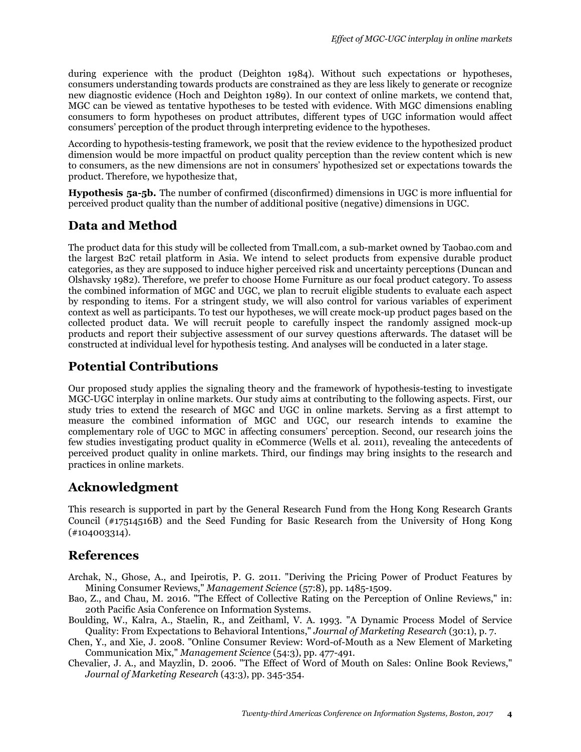during experience with the product (Deighton 1984). Without such expectations or hypotheses, consumers understanding towards products are constrained as they are less likely to generate or recognize new diagnostic evidence (Hoch and Deighton 1989). In our context of online markets, we contend that, MGC can be viewed as tentative hypotheses to be tested with evidence. With MGC dimensions enabling consumers to form hypotheses on product attributes, different types of UGC information would affect consumers' perception of the product through interpreting evidence to the hypotheses.

According to hypothesis-testing framework, we posit that the review evidence to the hypothesized product dimension would be more impactful on product quality perception than the review content which is new to consumers, as the new dimensions are not in consumers' hypothesized set or expectations towards the product. Therefore, we hypothesize that,

**Hypothesis 5a-5b.** The number of confirmed (disconfirmed) dimensions in UGC is more influential for perceived product quality than the number of additional positive (negative) dimensions in UGC.

# **Data and Method**

The product data for this study will be collected from Tmall.com, a sub-market owned by Taobao.com and the largest B2C retail platform in Asia. We intend to select products from expensive durable product categories, as they are supposed to induce higher perceived risk and uncertainty perceptions (Duncan and Olshavsky 1982). Therefore, we prefer to choose Home Furniture as our focal product category. To assess the combined information of MGC and UGC, we plan to recruit eligible students to evaluate each aspect by responding to items. For a stringent study, we will also control for various variables of experiment context as well as participants. To test our hypotheses, we will create mock-up product pages based on the collected product data. We will recruit people to carefully inspect the randomly assigned mock-up products and report their subjective assessment of our survey questions afterwards. The dataset will be constructed at individual level for hypothesis testing. And analyses will be conducted in a later stage.

# **Potential Contributions**

Our proposed study applies the signaling theory and the framework of hypothesis-testing to investigate MGC-UGC interplay in online markets. Our study aims at contributing to the following aspects. First, our study tries to extend the research of MGC and UGC in online markets. Serving as a first attempt to measure the combined information of MGC and UGC, our research intends to examine the complementary role of UGC to MGC in affecting consumers' perception. Second, our research joins the few studies investigating product quality in eCommerce (Wells et al. 2011), revealing the antecedents of perceived product quality in online markets. Third, our findings may bring insights to the research and practices in online markets.

# **Acknowledgment**

This research is supported in part by the General Research Fund from the Hong Kong Research Grants Council (#17514516B) and the Seed Funding for Basic Research from the University of Hong Kong (#104003314).

# **References**

- Archak, N., Ghose, A., and Ipeirotis, P. G. 2011. "Deriving the Pricing Power of Product Features by Mining Consumer Reviews," *Management Science* (57:8), pp. 1485-1509.
- Bao, Z., and Chau, M. 2016. "The Effect of Collective Rating on the Perception of Online Reviews," in: 20th Pacific Asia Conference on Information Systems.
- Boulding, W., Kalra, A., Staelin, R., and Zeithaml, V. A. 1993. "A Dynamic Process Model of Service Quality: From Expectations to Behavioral Intentions," *Journal of Marketing Research* (30:1), p. 7.
- Chen, Y., and Xie, J. 2008. "Online Consumer Review: Word-of-Mouth as a New Element of Marketing Communication Mix," *Management Science* (54:3), pp. 477-491.
- Chevalier, J. A., and Mayzlin, D. 2006. "The Effect of Word of Mouth on Sales: Online Book Reviews," *Journal of Marketing Research* (43:3), pp. 345-354.